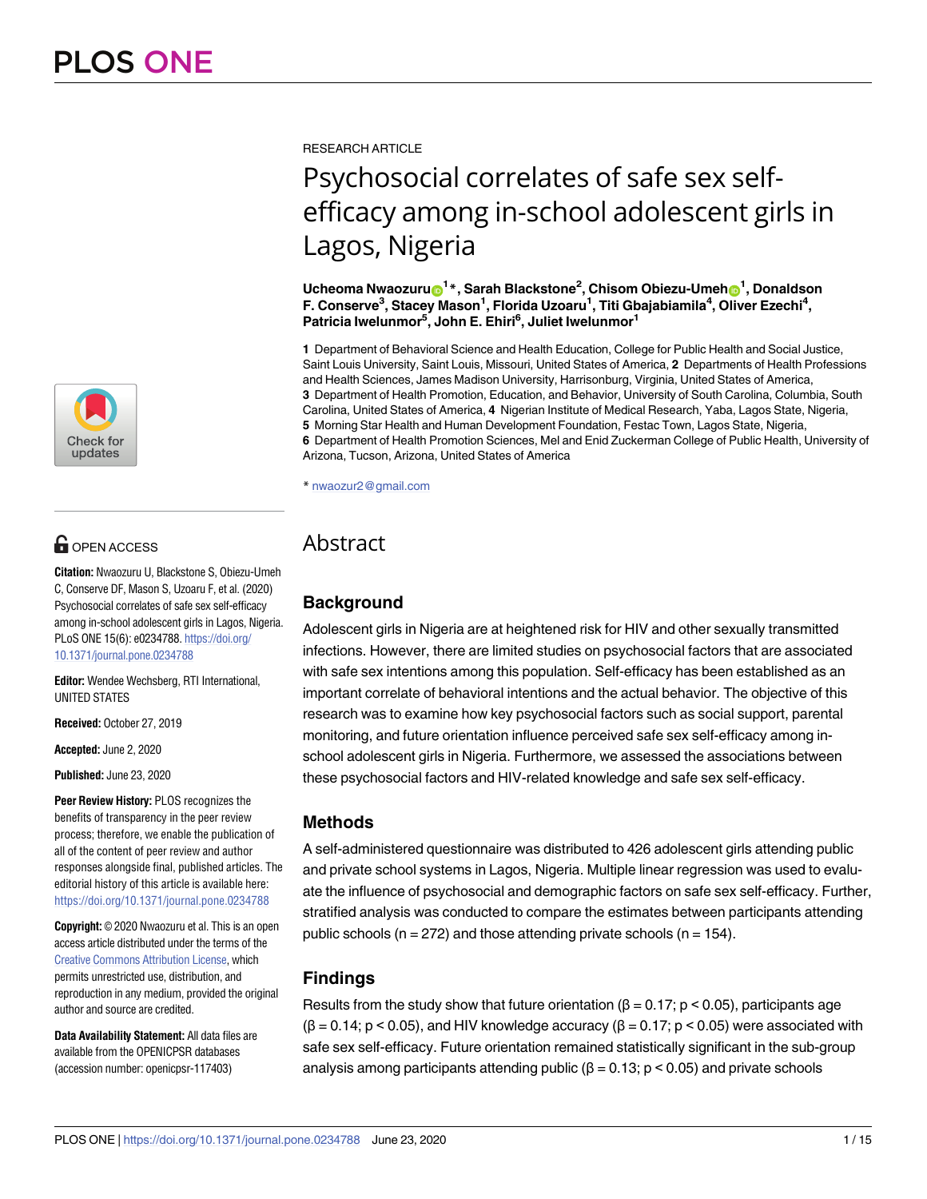

# $\blacksquare$  OPEN ACCESS

**Citation:** Nwaozuru U, Blackstone S, Obiezu-Umeh C, Conserve DF, Mason S, Uzoaru F, et al. (2020) Psychosocial correlates of safe sex self-efficacy among in-school adolescent girls in Lagos, Nigeria. PLoS ONE 15(6): e0234788. [https://doi.org/](https://doi.org/10.1371/journal.pone.0234788) [10.1371/journal.pone.0234788](https://doi.org/10.1371/journal.pone.0234788)

**Editor:** Wendee Wechsberg, RTI International, UNITED STATES

**Received:** October 27, 2019

**Accepted:** June 2, 2020

**Published:** June 23, 2020

**Peer Review History:** PLOS recognizes the benefits of transparency in the peer review process; therefore, we enable the publication of all of the content of peer review and author responses alongside final, published articles. The editorial history of this article is available here: <https://doi.org/10.1371/journal.pone.0234788>

**Copyright:** © 2020 Nwaozuru et al. This is an open access article distributed under the terms of the Creative Commons [Attribution](http://creativecommons.org/licenses/by/4.0/) License, which permits unrestricted use, distribution, and reproduction in any medium, provided the original author and source are credited.

**Data Availability Statement:** All data files are available from the OPENICPSR databases (accession number: openicpsr-117403)

RESEARCH ARTICLE

# Psychosocial correlates of safe sex selfefficacy among in-school adolescent girls in Lagos, Nigeria

 $\bf{U}$ cheoma <code>Nwaozuru $\bf{O}^{1*}$ , Sarah Blackstone $^2$ , Chisom Obiezu-Umeh $\bf{O}^1$ , Donaldson</code> **F. Conserve3 , Stacey Mason1 , Florida Uzoaru1 , Titi Gbajabiamila4 , Oliver Ezechi4 , Patricia Iwelunmor5 , John E. Ehiri6 , Juliet Iwelunmor1**

**1** Department of Behavioral Science and Health Education, College for Public Health and Social Justice, Saint Louis University, Saint Louis, Missouri, United States of America, **2** Departments of Health Professions and Health Sciences, James Madison University, Harrisonburg, Virginia, United States of America, **3** Department of Health Promotion, Education, and Behavior, University of South Carolina, Columbia, South Carolina, United States of America, **4** Nigerian Institute of Medical Research, Yaba, Lagos State, Nigeria, **5** Morning Star Health and Human Development Foundation, Festac Town, Lagos State, Nigeria, **6** Department of Health Promotion Sciences, Mel and Enid Zuckerman College of Public Health, University of Arizona, Tucson, Arizona, United States of America

\* nwaozur2@gmail.com

## Abstract

## **Background**

Adolescent girls in Nigeria are at heightened risk for HIV and other sexually transmitted infections. However, there are limited studies on psychosocial factors that are associated with safe sex intentions among this population. Self-efficacy has been established as an important correlate of behavioral intentions and the actual behavior. The objective of this research was to examine how key psychosocial factors such as social support, parental monitoring, and future orientation influence perceived safe sex self-efficacy among inschool adolescent girls in Nigeria. Furthermore, we assessed the associations between these psychosocial factors and HIV-related knowledge and safe sex self-efficacy.

## **Methods**

A self-administered questionnaire was distributed to 426 adolescent girls attending public and private school systems in Lagos, Nigeria. Multiple linear regression was used to evaluate the influence of psychosocial and demographic factors on safe sex self-efficacy. Further, stratified analysis was conducted to compare the estimates between participants attending public schools ( $n = 272$ ) and those attending private schools ( $n = 154$ ).

## **Findings**

Results from the study show that future orientation ( $\beta$  = 0.17; p < 0.05), participants age  $(\beta = 0.14; p < 0.05)$ , and HIV knowledge accuracy  $(\beta = 0.17; p < 0.05)$  were associated with safe sex self-efficacy. Future orientation remained statistically significant in the sub-group analysis among participants attending public ( $\beta$  = 0.13; p < 0.05) and private schools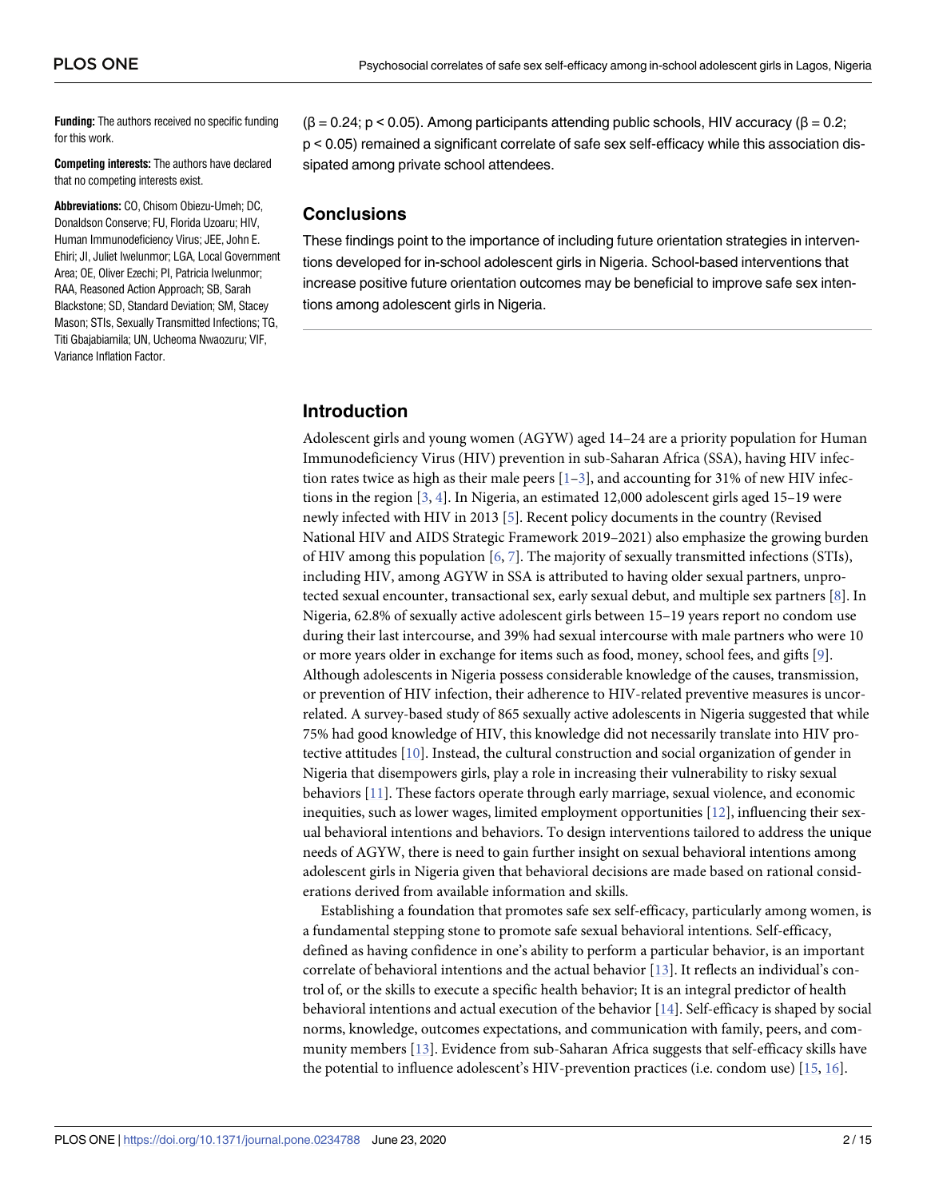<span id="page-1-0"></span>**Funding:** The authors received no specific funding for this work.

**Competing interests:** The authors have declared that no competing interests exist.

**Abbreviations:** CO, Chisom Obiezu-Umeh; DC, Donaldson Conserve; FU, Florida Uzoaru; HIV, Human Immunodeficiency Virus; JEE, John E. Ehiri; JI, Juliet Iwelunmor; LGA, Local Government Area; OE, Oliver Ezechi; PI, Patricia Iwelunmor; RAA, Reasoned Action Approach; SB, Sarah Blackstone; SD, Standard Deviation; SM, Stacey Mason; STIs, Sexually Transmitted Infections; TG, Titi Gbajabiamila; UN, Ucheoma Nwaozuru; VIF, Variance Inflation Factor.

 $(\beta = 0.24; p < 0.05)$ . Among participants attending public schools, HIV accuracy  $(\beta = 0.2;$ p < 0.05) remained a significant correlate of safe sex self-efficacy while this association dissipated among private school attendees.

## **Conclusions**

These findings point to the importance of including future orientation strategies in interventions developed for in-school adolescent girls in Nigeria. School-based interventions that increase positive future orientation outcomes may be beneficial to improve safe sex intentions among adolescent girls in Nigeria.

## **Introduction**

Adolescent girls and young women (AGYW) aged 14–24 are a priority population for Human Immunodeficiency Virus (HIV) prevention in sub-Saharan Africa (SSA), having HIV infection rates twice as high as their male peers  $[1-3]$ , and accounting for 31% of new HIV infections in the region [\[3](#page-12-0), [4](#page-12-0)]. In Nigeria, an estimated 12,000 adolescent girls aged 15–19 were newly infected with HIV in 2013 [\[5\]](#page-12-0). Recent policy documents in the country (Revised National HIV and AIDS Strategic Framework 2019–2021) also emphasize the growing burden of HIV among this population [\[6](#page-12-0), [7](#page-12-0)]. The majority of sexually transmitted infections (STIs), including HIV, among AGYW in SSA is attributed to having older sexual partners, unprotected sexual encounter, transactional sex, early sexual debut, and multiple sex partners [\[8\]](#page-12-0). In Nigeria, 62.8% of sexually active adolescent girls between 15–19 years report no condom use during their last intercourse, and 39% had sexual intercourse with male partners who were 10 or more years older in exchange for items such as food, money, school fees, and gifts [[9\]](#page-12-0). Although adolescents in Nigeria possess considerable knowledge of the causes, transmission, or prevention of HIV infection, their adherence to HIV-related preventive measures is uncorrelated. A survey-based study of 865 sexually active adolescents in Nigeria suggested that while 75% had good knowledge of HIV, this knowledge did not necessarily translate into HIV protective attitudes [\[10\]](#page-12-0). Instead, the cultural construction and social organization of gender in Nigeria that disempowers girls, play a role in increasing their vulnerability to risky sexual behaviors [\[11\]](#page-12-0). These factors operate through early marriage, sexual violence, and economic inequities, such as lower wages, limited employment opportunities [\[12](#page-12-0)], influencing their sexual behavioral intentions and behaviors. To design interventions tailored to address the unique needs of AGYW, there is need to gain further insight on sexual behavioral intentions among adolescent girls in Nigeria given that behavioral decisions are made based on rational considerations derived from available information and skills.

Establishing a foundation that promotes safe sex self-efficacy, particularly among women, is a fundamental stepping stone to promote safe sexual behavioral intentions. Self-efficacy, defined as having confidence in one's ability to perform a particular behavior, is an important correlate of behavioral intentions and the actual behavior [[13\]](#page-12-0). It reflects an individual's control of, or the skills to execute a specific health behavior; It is an integral predictor of health behavioral intentions and actual execution of the behavior [[14](#page-12-0)]. Self-efficacy is shaped by social norms, knowledge, outcomes expectations, and communication with family, peers, and community members [\[13\]](#page-12-0). Evidence from sub-Saharan Africa suggests that self-efficacy skills have the potential to influence adolescent's HIV-prevention practices (i.e. condom use) [\[15,](#page-12-0) [16](#page-12-0)].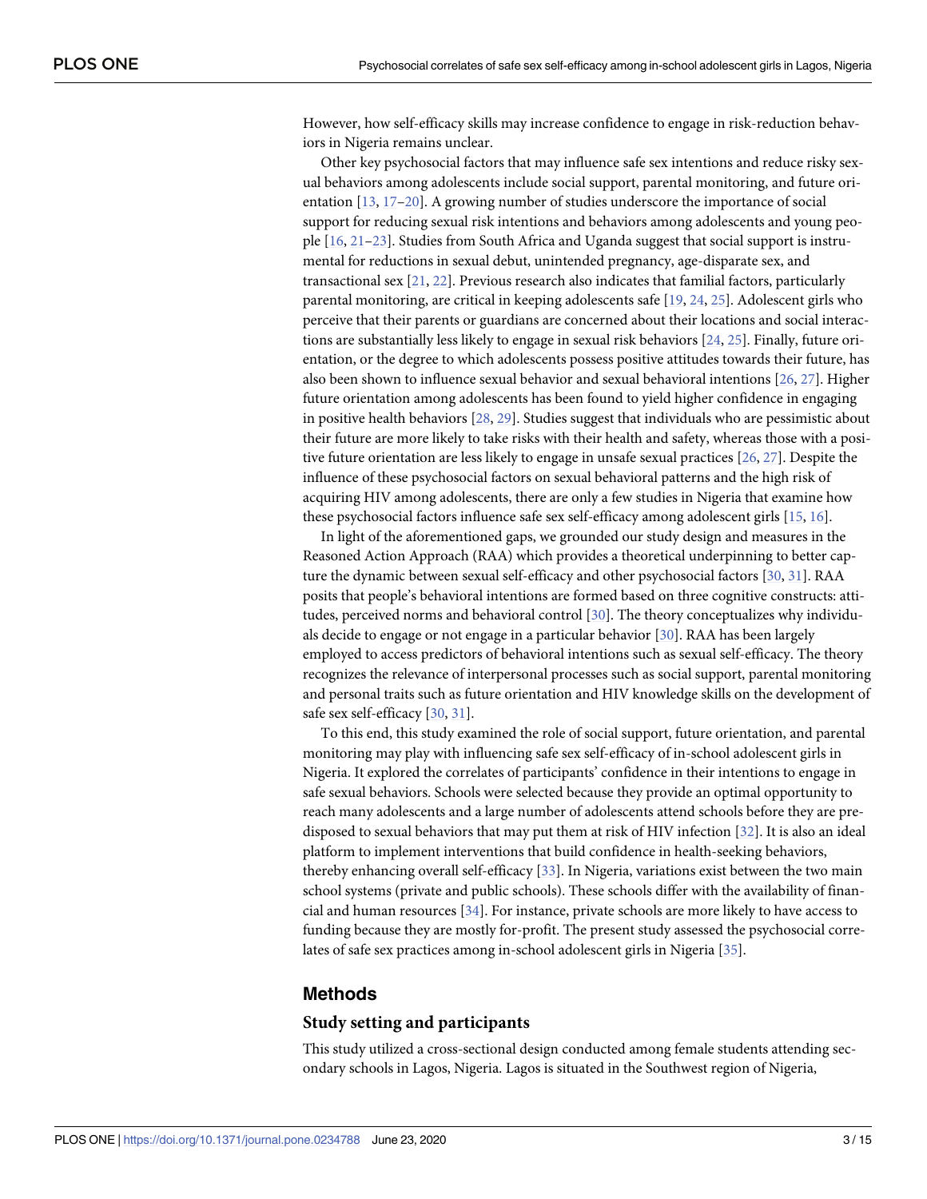<span id="page-2-0"></span>However, how self-efficacy skills may increase confidence to engage in risk-reduction behaviors in Nigeria remains unclear.

Other key psychosocial factors that may influence safe sex intentions and reduce risky sexual behaviors among adolescents include social support, parental monitoring, and future orientation [[13](#page-12-0), [17](#page-12-0)–[20\]](#page-12-0). A growing number of studies underscore the importance of social support for reducing sexual risk intentions and behaviors among adolescents and young people [\[16,](#page-12-0) [21](#page-12-0)[–23\]](#page-13-0). Studies from South Africa and Uganda suggest that social support is instrumental for reductions in sexual debut, unintended pregnancy, age-disparate sex, and transactional sex [\[21,](#page-12-0) [22](#page-12-0)]. Previous research also indicates that familial factors, particularly parental monitoring, are critical in keeping adolescents safe [[19](#page-12-0), [24](#page-13-0), [25](#page-13-0)]. Adolescent girls who perceive that their parents or guardians are concerned about their locations and social interactions are substantially less likely to engage in sexual risk behaviors [[24](#page-13-0), [25](#page-13-0)]. Finally, future orientation, or the degree to which adolescents possess positive attitudes towards their future, has also been shown to influence sexual behavior and sexual behavioral intentions [\[26,](#page-13-0) [27](#page-13-0)]. Higher future orientation among adolescents has been found to yield higher confidence in engaging in positive health behaviors [\[28,](#page-13-0) [29\]](#page-13-0). Studies suggest that individuals who are pessimistic about their future are more likely to take risks with their health and safety, whereas those with a positive future orientation are less likely to engage in unsafe sexual practices [\[26,](#page-13-0) [27\]](#page-13-0). Despite the influence of these psychosocial factors on sexual behavioral patterns and the high risk of acquiring HIV among adolescents, there are only a few studies in Nigeria that examine how these psychosocial factors influence safe sex self-efficacy among adolescent girls [[15](#page-12-0), [16](#page-12-0)].

In light of the aforementioned gaps, we grounded our study design and measures in the Reasoned Action Approach (RAA) which provides a theoretical underpinning to better capture the dynamic between sexual self-efficacy and other psychosocial factors [[30](#page-13-0), [31](#page-13-0)]. RAA posits that people's behavioral intentions are formed based on three cognitive constructs: attitudes, perceived norms and behavioral control [[30\]](#page-13-0). The theory conceptualizes why individuals decide to engage or not engage in a particular behavior [[30](#page-13-0)]. RAA has been largely employed to access predictors of behavioral intentions such as sexual self-efficacy. The theory recognizes the relevance of interpersonal processes such as social support, parental monitoring and personal traits such as future orientation and HIV knowledge skills on the development of safe sex self-efficacy [\[30,](#page-13-0) [31\]](#page-13-0).

To this end, this study examined the role of social support, future orientation, and parental monitoring may play with influencing safe sex self-efficacy of in-school adolescent girls in Nigeria. It explored the correlates of participants' confidence in their intentions to engage in safe sexual behaviors. Schools were selected because they provide an optimal opportunity to reach many adolescents and a large number of adolescents attend schools before they are predisposed to sexual behaviors that may put them at risk of HIV infection [[32](#page-13-0)]. It is also an ideal platform to implement interventions that build confidence in health-seeking behaviors, thereby enhancing overall self-efficacy [[33](#page-13-0)]. In Nigeria, variations exist between the two main school systems (private and public schools). These schools differ with the availability of financial and human resources [\[34\]](#page-13-0). For instance, private schools are more likely to have access to funding because they are mostly for-profit. The present study assessed the psychosocial correlates of safe sex practices among in-school adolescent girls in Nigeria [[35](#page-13-0)].

#### **Methods**

#### **Study setting and participants**

This study utilized a cross-sectional design conducted among female students attending secondary schools in Lagos, Nigeria. Lagos is situated in the Southwest region of Nigeria,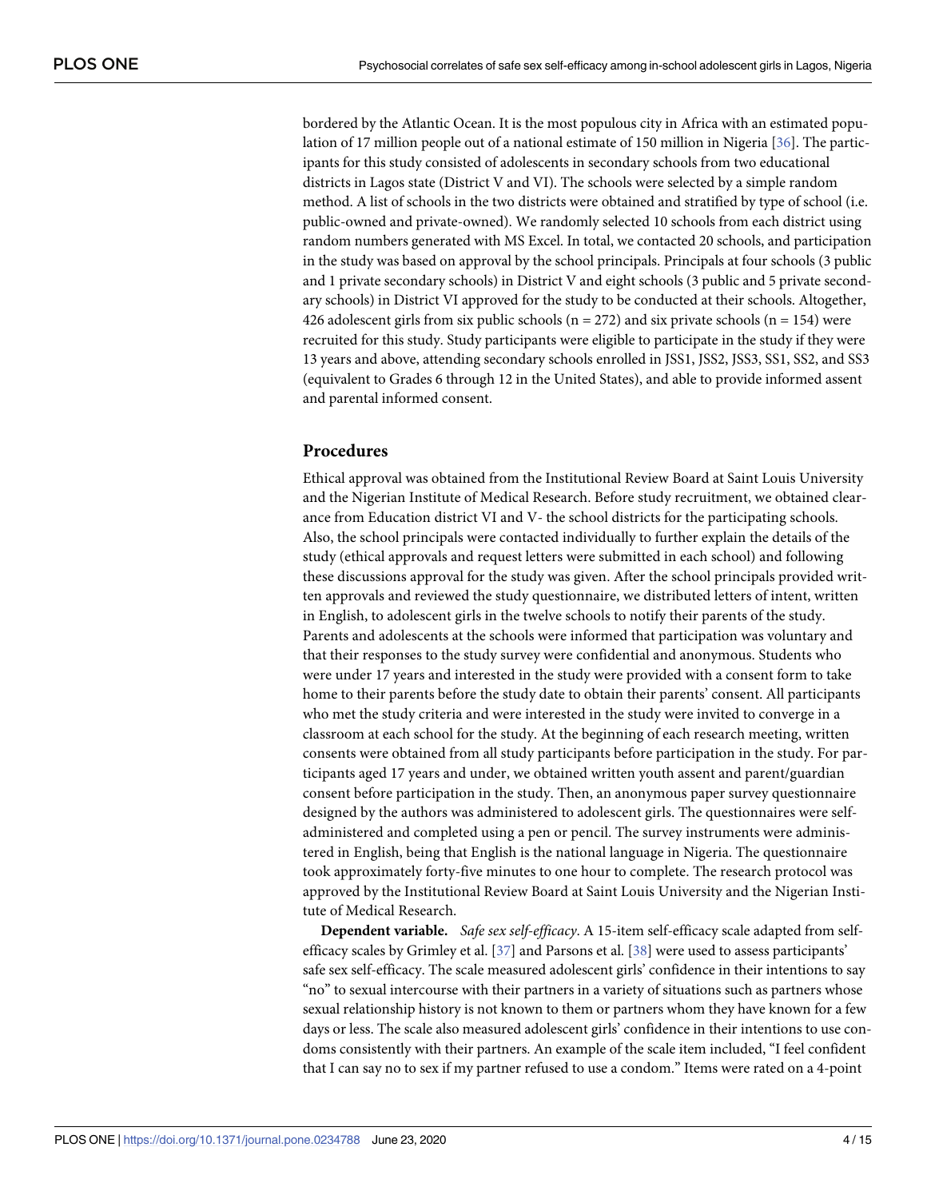<span id="page-3-0"></span>bordered by the Atlantic Ocean. It is the most populous city in Africa with an estimated population of 17 million people out of a national estimate of 150 million in Nigeria [[36](#page-13-0)]. The participants for this study consisted of adolescents in secondary schools from two educational districts in Lagos state (District V and VI). The schools were selected by a simple random method. A list of schools in the two districts were obtained and stratified by type of school (i.e. public-owned and private-owned). We randomly selected 10 schools from each district using random numbers generated with MS Excel. In total, we contacted 20 schools, and participation in the study was based on approval by the school principals. Principals at four schools (3 public and 1 private secondary schools) in District V and eight schools (3 public and 5 private secondary schools) in District VI approved for the study to be conducted at their schools. Altogether, 426 adolescent girls from six public schools (n = 272) and six private schools (n = 154) were recruited for this study. Study participants were eligible to participate in the study if they were 13 years and above, attending secondary schools enrolled in JSS1, JSS2, JSS3, SS1, SS2, and SS3 (equivalent to Grades 6 through 12 in the United States), and able to provide informed assent and parental informed consent.

#### **Procedures**

Ethical approval was obtained from the Institutional Review Board at Saint Louis University and the Nigerian Institute of Medical Research. Before study recruitment, we obtained clearance from Education district VI and V- the school districts for the participating schools. Also, the school principals were contacted individually to further explain the details of the study (ethical approvals and request letters were submitted in each school) and following these discussions approval for the study was given. After the school principals provided written approvals and reviewed the study questionnaire, we distributed letters of intent, written in English, to adolescent girls in the twelve schools to notify their parents of the study. Parents and adolescents at the schools were informed that participation was voluntary and that their responses to the study survey were confidential and anonymous. Students who were under 17 years and interested in the study were provided with a consent form to take home to their parents before the study date to obtain their parents' consent. All participants who met the study criteria and were interested in the study were invited to converge in a classroom at each school for the study. At the beginning of each research meeting, written consents were obtained from all study participants before participation in the study. For participants aged 17 years and under, we obtained written youth assent and parent/guardian consent before participation in the study. Then, an anonymous paper survey questionnaire designed by the authors was administered to adolescent girls. The questionnaires were selfadministered and completed using a pen or pencil. The survey instruments were administered in English, being that English is the national language in Nigeria. The questionnaire took approximately forty-five minutes to one hour to complete. The research protocol was approved by the Institutional Review Board at Saint Louis University and the Nigerian Institute of Medical Research.

**Dependent variable.** *Safe sex self-efficacy*. A 15-item self-efficacy scale adapted from selfefficacy scales by Grimley et al. [[37](#page-13-0)] and Parsons et al. [\[38\]](#page-13-0) were used to assess participants' safe sex self-efficacy. The scale measured adolescent girls' confidence in their intentions to say "no" to sexual intercourse with their partners in a variety of situations such as partners whose sexual relationship history is not known to them or partners whom they have known for a few days or less. The scale also measured adolescent girls' confidence in their intentions to use condoms consistently with their partners. An example of the scale item included, "I feel confident that I can say no to sex if my partner refused to use a condom." Items were rated on a 4-point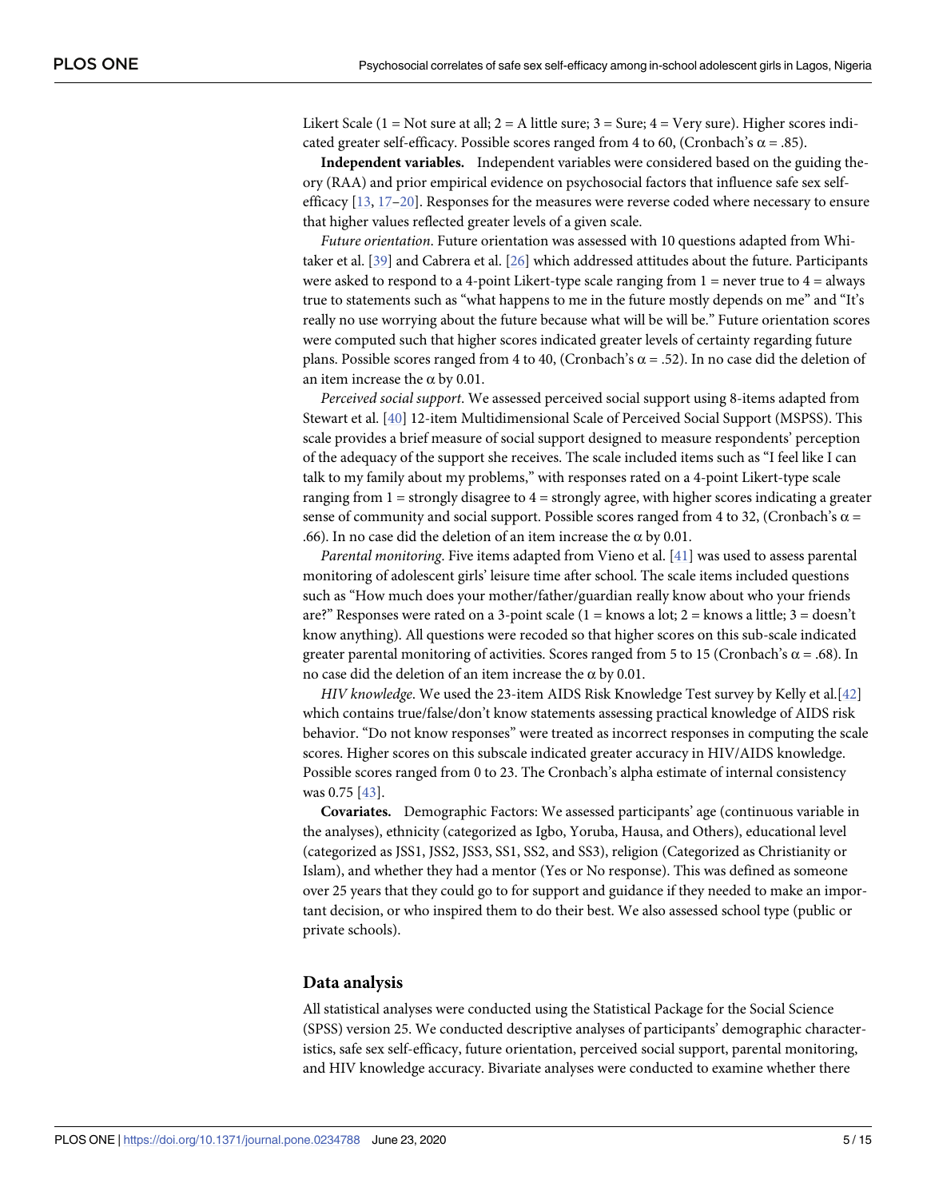<span id="page-4-0"></span>Likert Scale (1 = Not sure at all;  $2 = A$  little sure;  $3 = S$ ure;  $4 = V$ ery sure). Higher scores indicated greater self-efficacy. Possible scores ranged from 4 to 60, (Cronbach's  $\alpha$  = .85).

**Independent variables.** Independent variables were considered based on the guiding theory (RAA) and prior empirical evidence on psychosocial factors that influence safe sex selfefficacy [[13](#page-12-0), [17–20\]](#page-12-0). Responses for the measures were reverse coded where necessary to ensure that higher values reflected greater levels of a given scale.

*Future orientation*. Future orientation was assessed with 10 questions adapted from Whitaker et al. [[39\]](#page-13-0) and Cabrera et al. [\[26\]](#page-13-0) which addressed attitudes about the future. Participants were asked to respond to a 4-point Likert-type scale ranging from  $1 =$  never true to  $4 =$  always true to statements such as "what happens to me in the future mostly depends on me" and "It's really no use worrying about the future because what will be will be." Future orientation scores were computed such that higher scores indicated greater levels of certainty regarding future plans. Possible scores ranged from 4 to 40, (Cronbach's  $\alpha$  = .52). In no case did the deletion of an item increase the  $\alpha$  by 0.01.

*Perceived social support*. We assessed perceived social support using 8-items adapted from Stewart et al. [\[40\]](#page-13-0) 12-item Multidimensional Scale of Perceived Social Support (MSPSS). This scale provides a brief measure of social support designed to measure respondents' perception of the adequacy of the support she receives. The scale included items such as "I feel like I can talk to my family about my problems," with responses rated on a 4-point Likert-type scale ranging from  $1 =$  strongly disagree to  $4 =$  strongly agree, with higher scores indicating a greater sense of community and social support. Possible scores ranged from 4 to 32, (Cronbach's  $\alpha$  = .66). In no case did the deletion of an item increase the  $\alpha$  by 0.01.

*Parental monitoring*. Five items adapted from Vieno et al. [\[41\]](#page-13-0) was used to assess parental monitoring of adolescent girls' leisure time after school. The scale items included questions such as "How much does your mother/father/guardian really know about who your friends are?" Responses were rated on a 3-point scale (1 = knows a lot;  $2$  = knows a little;  $3$  = doesn't know anything). All questions were recoded so that higher scores on this sub-scale indicated greater parental monitoring of activities. Scores ranged from 5 to 15 (Cronbach's  $\alpha$  = .68). In no case did the deletion of an item increase the α by 0.01.

*HIV knowledge*. We used the 23-item AIDS Risk Knowledge Test survey by Kelly et al.[[42](#page-13-0)] which contains true/false/don't know statements assessing practical knowledge of AIDS risk behavior. "Do not know responses" were treated as incorrect responses in computing the scale scores. Higher scores on this subscale indicated greater accuracy in HIV/AIDS knowledge. Possible scores ranged from 0 to 23. The Cronbach's alpha estimate of internal consistency was 0.75 [\[43\]](#page-13-0).

**Covariates.** Demographic Factors: We assessed participants' age (continuous variable in the analyses), ethnicity (categorized as Igbo, Yoruba, Hausa, and Others), educational level (categorized as JSS1, JSS2, JSS3, SS1, SS2, and SS3), religion (Categorized as Christianity or Islam), and whether they had a mentor (Yes or No response). This was defined as someone over 25 years that they could go to for support and guidance if they needed to make an important decision, or who inspired them to do their best. We also assessed school type (public or private schools).

#### **Data analysis**

All statistical analyses were conducted using the Statistical Package for the Social Science (SPSS) version 25. We conducted descriptive analyses of participants' demographic characteristics, safe sex self-efficacy, future orientation, perceived social support, parental monitoring, and HIV knowledge accuracy. Bivariate analyses were conducted to examine whether there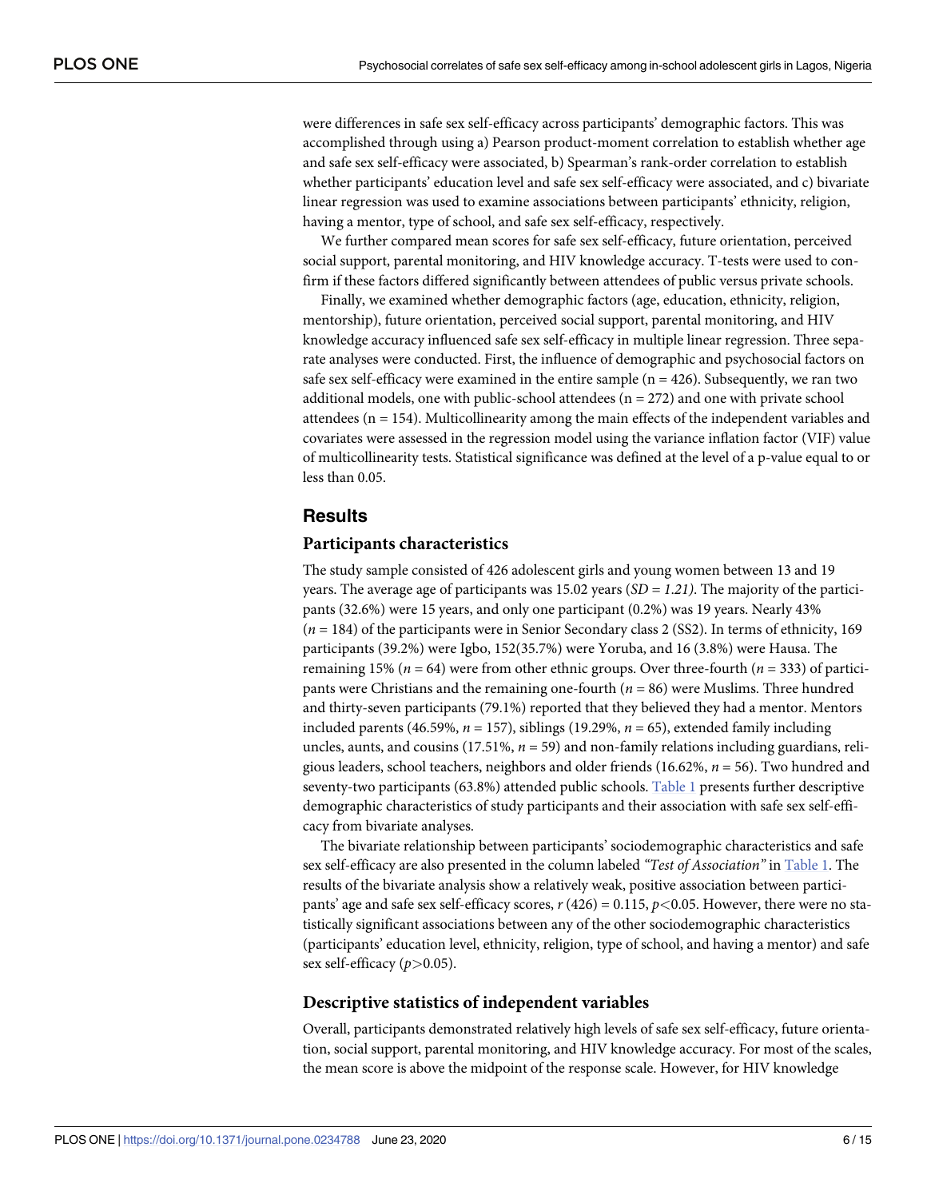<span id="page-5-0"></span>were differences in safe sex self-efficacy across participants' demographic factors. This was accomplished through using a) Pearson product-moment correlation to establish whether age and safe sex self-efficacy were associated, b) Spearman's rank-order correlation to establish whether participants' education level and safe sex self-efficacy were associated, and c) bivariate linear regression was used to examine associations between participants' ethnicity, religion, having a mentor, type of school, and safe sex self-efficacy, respectively.

We further compared mean scores for safe sex self-efficacy, future orientation, perceived social support, parental monitoring, and HIV knowledge accuracy. T-tests were used to confirm if these factors differed significantly between attendees of public versus private schools.

Finally, we examined whether demographic factors (age, education, ethnicity, religion, mentorship), future orientation, perceived social support, parental monitoring, and HIV knowledge accuracy influenced safe sex self-efficacy in multiple linear regression. Three separate analyses were conducted. First, the influence of demographic and psychosocial factors on safe sex self-efficacy were examined in the entire sample  $(n = 426)$ . Subsequently, we ran two additional models, one with public-school attendees  $(n = 272)$  and one with private school attendees (n = 154). Multicollinearity among the main effects of the independent variables and covariates were assessed in the regression model using the variance inflation factor (VIF) value of multicollinearity tests. Statistical significance was defined at the level of a p-value equal to or less than 0.05.

#### **Results**

#### **Participants characteristics**

The study sample consisted of 426 adolescent girls and young women between 13 and 19 years. The average age of participants was 15.02 years (*SD = 1*.*21)*. The majority of the participants (32.6%) were 15 years, and only one participant (0.2%) was 19 years. Nearly 43% (*n* = 184) of the participants were in Senior Secondary class 2 (SS2). In terms of ethnicity, 169 participants (39.2%) were Igbo, 152(35.7%) were Yoruba, and 16 (3.8%) were Hausa. The remaining 15% ( $n = 64$ ) were from other ethnic groups. Over three-fourth ( $n = 333$ ) of participants were Christians and the remaining one-fourth (*n* = 86) were Muslims. Three hundred and thirty-seven participants (79.1%) reported that they believed they had a mentor. Mentors included parents (46.59%,  $n = 157$ ), siblings (19.29%,  $n = 65$ ), extended family including uncles, aunts, and cousins (17.51%, *n* = 59) and non-family relations including guardians, religious leaders, school teachers, neighbors and older friends (16.62%, *n* = 56). Two hundred and seventy-two participants (63.8%) attended public schools. [Table](#page-6-0) 1 presents further descriptive demographic characteristics of study participants and their association with safe sex self-efficacy from bivariate analyses.

The bivariate relationship between participants' sociodemographic characteristics and safe sex self-efficacy are also presented in the column labeled *"Test of Association"* in [Table](#page-6-0) 1. The results of the bivariate analysis show a relatively weak, positive association between participants' age and safe sex self-efficacy scores, *r* (426) = 0.115, *p<*0.05. However, there were no statistically significant associations between any of the other sociodemographic characteristics (participants' education level, ethnicity, religion, type of school, and having a mentor) and safe sex self-efficacy (*p>*0.05).

#### **Descriptive statistics of independent variables**

Overall, participants demonstrated relatively high levels of safe sex self-efficacy, future orientation, social support, parental monitoring, and HIV knowledge accuracy. For most of the scales, the mean score is above the midpoint of the response scale. However, for HIV knowledge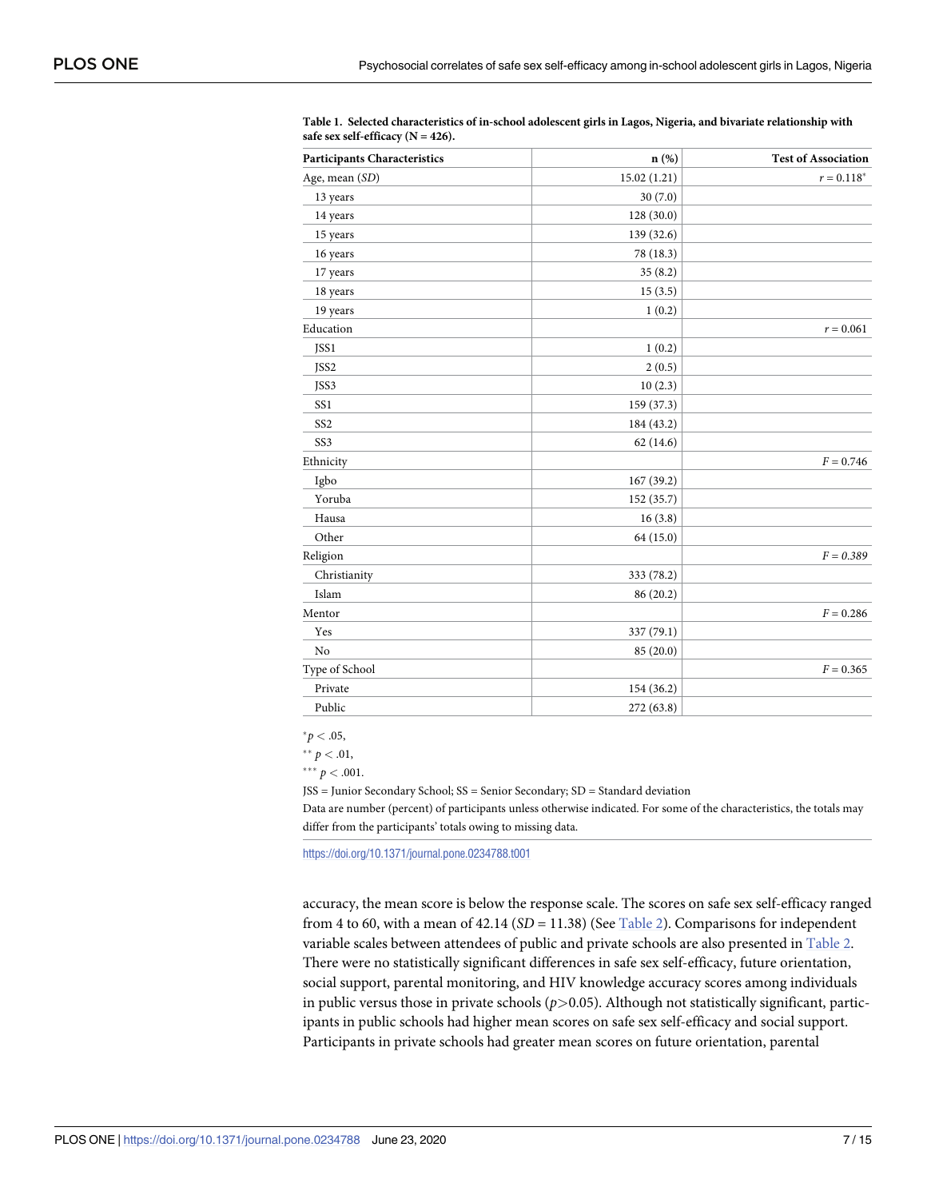| <b>Participants Characteristics</b> | n(%)         | <b>Test of Association</b> |
|-------------------------------------|--------------|----------------------------|
| Age, mean (SD)                      | 15.02 (1.21) | $r=0.118^{\ast}$           |
| 13 years                            | 30(7.0)      |                            |
| 14 years                            | 128(30.0)    |                            |
| 15 years                            | 139 (32.6)   |                            |
| 16 years                            | 78 (18.3)    |                            |
| 17 years                            | 35(8.2)      |                            |
| 18 years                            | 15(3.5)      |                            |
| 19 years                            | 1(0.2)       |                            |
| Education                           |              | $r = 0.061$                |
| JSS1                                | 1(0.2)       |                            |
| JSS2                                | 2(0.5)       |                            |
| JSS3                                | 10(2.3)      |                            |
| SS1                                 | 159 (37.3)   |                            |
| SS <sub>2</sub>                     | 184 (43.2)   |                            |
| SS <sub>3</sub>                     | 62(14.6)     |                            |
| Ethnicity                           |              | $F = 0.746$                |
| Igbo                                | 167 (39.2)   |                            |
| Yoruba                              | 152 (35.7)   |                            |
| Hausa                               | 16(3.8)      |                            |
| Other                               | 64 (15.0)    |                            |
| Religion                            |              | $F = 0.389$                |
| Christianity                        | 333 (78.2)   |                            |
| Islam                               | 86 (20.2)    |                            |
| Mentor                              |              | $F = 0.286$                |
| Yes                                 | 337 (79.1)   |                            |
| N <sub>o</sub>                      | 85 (20.0)    |                            |
| Type of School                      |              | $F = 0.365$                |
| Private                             | 154 (36.2)   |                            |
| Public                              | 272 (63.8)   |                            |

<span id="page-6-0"></span>**[Table](#page-5-0) 1. Selected characteristics of in-school adolescent girls in Lagos, Nigeria, and bivariate relationship with safe sex self-efficacy (N = 426).**

 $^{*}p < .05$ ,

 $*$   $*$   $p$  < .01,

 $*** p < .001$ .

JSS = Junior Secondary School; SS = Senior Secondary; SD = Standard deviation

Data are number (percent) of participants unless otherwise indicated. For some of the characteristics, the totals may differ from the participants' totals owing to missing data.

<https://doi.org/10.1371/journal.pone.0234788.t001>

accuracy, the mean score is below the response scale. The scores on safe sex self-efficacy ranged from 4 to 60, with a mean of 42.14 (*SD* = 11.38) (See [Table](#page-7-0) 2). Comparisons for independent variable scales between attendees of public and private schools are also presented in [Table](#page-7-0) 2. There were no statistically significant differences in safe sex self-efficacy, future orientation, social support, parental monitoring, and HIV knowledge accuracy scores among individuals in public versus those in private schools (*p>*0.05). Although not statistically significant, participants in public schools had higher mean scores on safe sex self-efficacy and social support. Participants in private schools had greater mean scores on future orientation, parental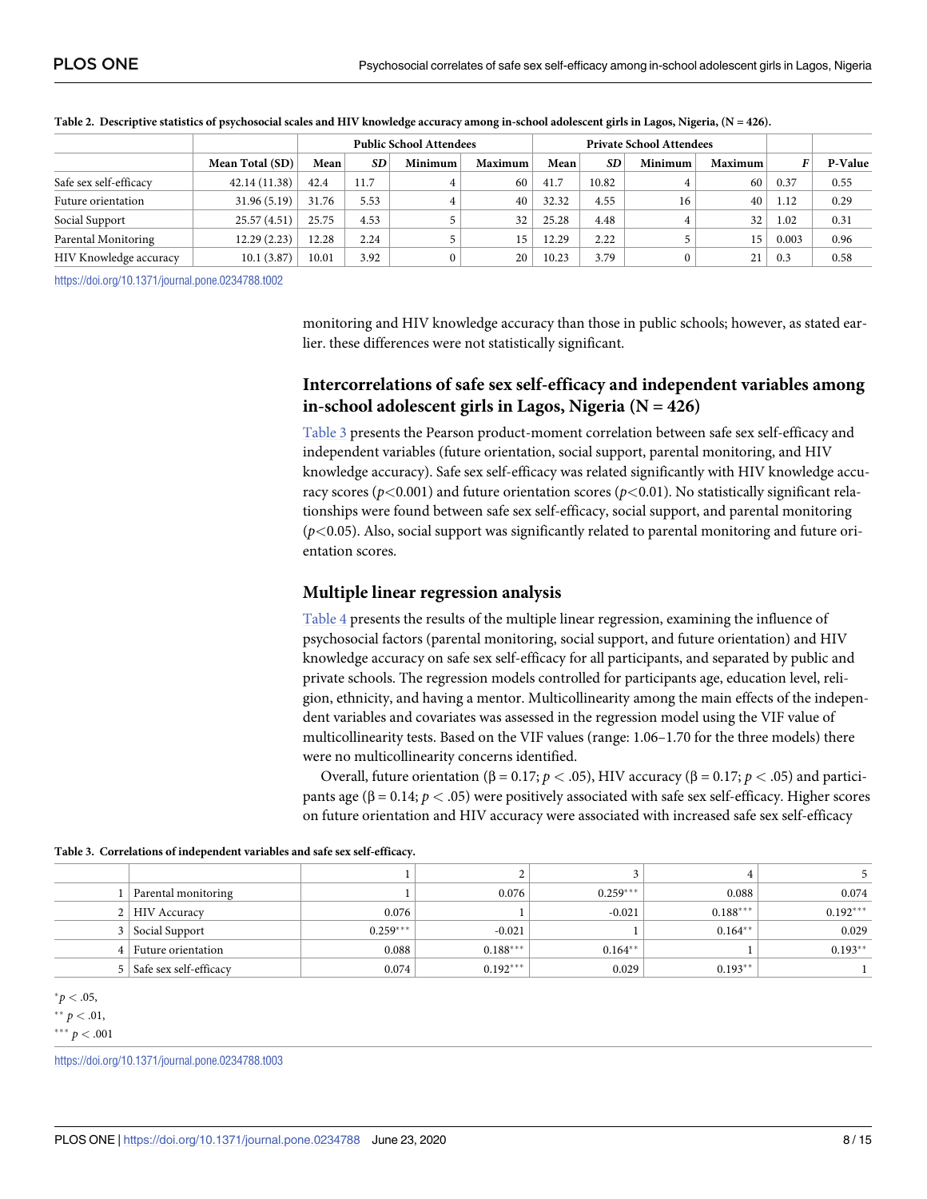|                        |                 | <b>Public School Attendees</b> |      |          |                | <b>Private School Attendees</b> |           |         |                |       |         |
|------------------------|-----------------|--------------------------------|------|----------|----------------|---------------------------------|-----------|---------|----------------|-------|---------|
|                        | Mean Total (SD) | Mean                           | SD   | Minimum  | <b>Maximum</b> | Mean                            | <b>SD</b> | Minimum | <b>Maximum</b> |       | P-Value |
| Safe sex self-efficacy | 42.14 (11.38)   | 42.4                           | 11.7 |          | 60             | 41.7                            | 10.82     |         | 60             | 0.37  | 0.55    |
| Future orientation     | 31.96 (5.19)    | 31.76                          | 5.53 |          | 40             | 32.32                           | 4.55      | 16      | 40             | 1.12  | 0.29    |
| Social Support         | 25.57(4.51)     | 25.75                          | 4.53 |          | 32             | 25.28                           | 4.48      |         | 32             | 1.02  | 0.31    |
| Parental Monitoring    | 12.29(2.23)     | 12.28                          | 2.24 |          | 15             | 12.29                           | 2.22      |         | 15             | 0.003 | 0.96    |
| HIV Knowledge accuracy | 10.1(3.87)      | $10.01\,$                      | 3.92 | $\Omega$ | 20             | 10.23                           | 3.79      |         | 21             | 0.3   | 0.58    |

<span id="page-7-0"></span>

| Table 2. Descriptive statistics of psychosocial scales and HIV knowledge accuracy among in-school adolescent girls in Lagos, Nigeria, $(N = 426)$ . |  |  |
|-----------------------------------------------------------------------------------------------------------------------------------------------------|--|--|
|                                                                                                                                                     |  |  |

<https://doi.org/10.1371/journal.pone.0234788.t002>

monitoring and HIV knowledge accuracy than those in public schools; however, as stated earlier. these differences were not statistically significant.

## **Intercorrelations of safe sex self-efficacy and independent variables among in-school adolescent girls in Lagos, Nigeria (N = 426)**

Table 3 presents the Pearson product-moment correlation between safe sex self-efficacy and independent variables (future orientation, social support, parental monitoring, and HIV knowledge accuracy). Safe sex self-efficacy was related significantly with HIV knowledge accuracy scores ( $p$ <0.001) and future orientation scores ( $p$ <0.01). No statistically significant relationships were found between safe sex self-efficacy, social support, and parental monitoring (*p<*0.05). Also, social support was significantly related to parental monitoring and future orientation scores.

#### **Multiple linear regression analysis**

[Table](#page-8-0) 4 presents the results of the multiple linear regression, examining the influence of psychosocial factors (parental monitoring, social support, and future orientation) and HIV knowledge accuracy on safe sex self-efficacy for all participants, and separated by public and private schools. The regression models controlled for participants age, education level, religion, ethnicity, and having a mentor. Multicollinearity among the main effects of the independent variables and covariates was assessed in the regression model using the VIF value of multicollinearity tests. Based on the VIF values (range: 1.06–1.70 for the three models) there were no multicollinearity concerns identified.

Overall, future orientation (β = 0.17; *p <* .05), HIV accuracy (β = 0.17; *p <* .05) and participants age (β = 0.14;  $p < .05$ ) were positively associated with safe sex self-efficacy. Higher scores on future orientation and HIV accuracy were associated with increased safe sex self-efficacy

|  |  |  | Table 3. Correlations of independent variables and safe sex self-efficacy. |
|--|--|--|----------------------------------------------------------------------------|
|--|--|--|----------------------------------------------------------------------------|

| Parental monitoring        |            | 0.076      | $0.259***$ | 0.088      | 0.074      |
|----------------------------|------------|------------|------------|------------|------------|
| 2   HIV Accuracy           | 0.076      |            | $-0.021$   | $0.188***$ | $0.192***$ |
| 3   Social Support         | $0.259***$ | $-0.021$   |            | $0.164**$  | 0.029      |
| 4   Future orientation     | 0.088      | $0.188***$ | $0.164**$  |            | $0.193**$  |
| 5   Safe sex self-efficacy | 0.074      | $0.192***$ | 0.029      | $0.193**$  |            |

 $^{*}p < .05$ ,

 $*$ <sup>\*</sup>  $p < .01$ ,

 $*** p < .001$ 

<https://doi.org/10.1371/journal.pone.0234788.t003>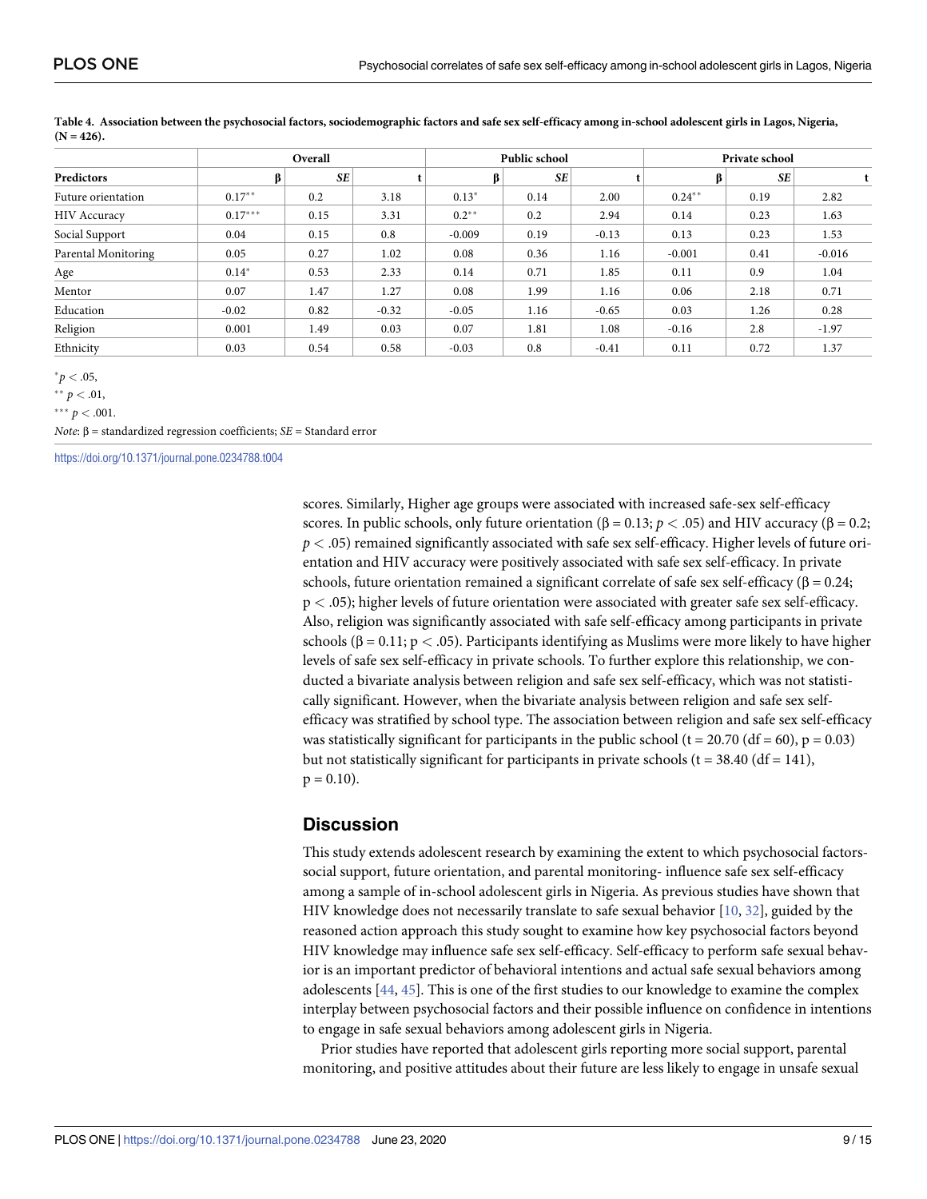|                     | Overall   |           |         | Public school |           |         | Private school |           |          |
|---------------------|-----------|-----------|---------|---------------|-----------|---------|----------------|-----------|----------|
| Predictors          | β         | <b>SE</b> |         | β             | <b>SE</b> |         |                | <b>SE</b> |          |
| Future orientation  | $0.17***$ | 0.2       | 3.18    | $0.13*$       | 0.14      | 2.00    | $0.24***$      | 0.19      | 2.82     |
| <b>HIV Accuracy</b> | $0.17***$ | 0.15      | 3.31    | $0.2***$      | 0.2       | 2.94    | 0.14           | 0.23      | 1.63     |
| Social Support      | 0.04      | 0.15      | 0.8     | $-0.009$      | 0.19      | $-0.13$ | 0.13           | 0.23      | 1.53     |
| Parental Monitoring | 0.05      | 0.27      | 1.02    | 0.08          | 0.36      | 1.16    | $-0.001$       | 0.41      | $-0.016$ |
| Age                 | $0.14*$   | 0.53      | 2.33    | 0.14          | 0.71      | 1.85    | 0.11           | 0.9       | 1.04     |
| Mentor              | 0.07      | 1.47      | 1.27    | 0.08          | 1.99      | 1.16    | 0.06           | 2.18      | 0.71     |
| Education           | $-0.02$   | 0.82      | $-0.32$ | $-0.05$       | 1.16      | $-0.65$ | 0.03           | 1.26      | 0.28     |
| Religion            | 0.001     | 1.49      | 0.03    | 0.07          | 1.81      | 1.08    | $-0.16$        | 2.8       | $-1.97$  |
| Ethnicity           | 0.03      | 0.54      | 0.58    | $-0.03$       | 0.8       | $-0.41$ | 0.11           | 0.72      | 1.37     |

<span id="page-8-0"></span>[Table](#page-7-0) 4. Association between the psychosocial factors, sociodemographic factors and safe sex self-efficacy among in-school adolescent girls in Lagos, Nigeria,  $(N = 426)$ 

 $p^* p < .05$ 

 $*$ <sup>\*</sup>  $p$ </sup> < .01,

 $*** p < .001$ .

*Note*: β = standardized regression coefficients; *SE* = Standard error

<https://doi.org/10.1371/journal.pone.0234788.t004>

scores. Similarly, Higher age groups were associated with increased safe-sex self-efficacy scores. In public schools, only future orientation ( $\beta = 0.13$ ;  $p < .05$ ) and HIV accuracy ( $\beta = 0.2$ ; *p <* .05) remained significantly associated with safe sex self-efficacy. Higher levels of future orientation and HIV accuracy were positively associated with safe sex self-efficacy. In private schools, future orientation remained a significant correlate of safe sex self-efficacy ( $\beta$  = 0.24; p *<* .05); higher levels of future orientation were associated with greater safe sex self-efficacy. Also, religion was significantly associated with safe self-efficacy among participants in private schools (β = 0.11; p *<* .05). Participants identifying as Muslims were more likely to have higher levels of safe sex self-efficacy in private schools. To further explore this relationship, we conducted a bivariate analysis between religion and safe sex self-efficacy, which was not statistically significant. However, when the bivariate analysis between religion and safe sex selfefficacy was stratified by school type. The association between religion and safe sex self-efficacy was statistically significant for participants in the public school (t = 20.70 (df = 60), p = 0.03) but not statistically significant for participants in private schools ( $t = 38.40$  (df = 141),  $p = 0.10$ ).

## **Discussion**

This study extends adolescent research by examining the extent to which psychosocial factorssocial support, future orientation, and parental monitoring- influence safe sex self-efficacy among a sample of in-school adolescent girls in Nigeria. As previous studies have shown that HIV knowledge does not necessarily translate to safe sexual behavior [\[10,](#page-12-0) [32\]](#page-13-0), guided by the reasoned action approach this study sought to examine how key psychosocial factors beyond HIV knowledge may influence safe sex self-efficacy. Self-efficacy to perform safe sexual behavior is an important predictor of behavioral intentions and actual safe sexual behaviors among adolescents [\[44,](#page-14-0) [45\]](#page-14-0). This is one of the first studies to our knowledge to examine the complex interplay between psychosocial factors and their possible influence on confidence in intentions to engage in safe sexual behaviors among adolescent girls in Nigeria.

Prior studies have reported that adolescent girls reporting more social support, parental monitoring, and positive attitudes about their future are less likely to engage in unsafe sexual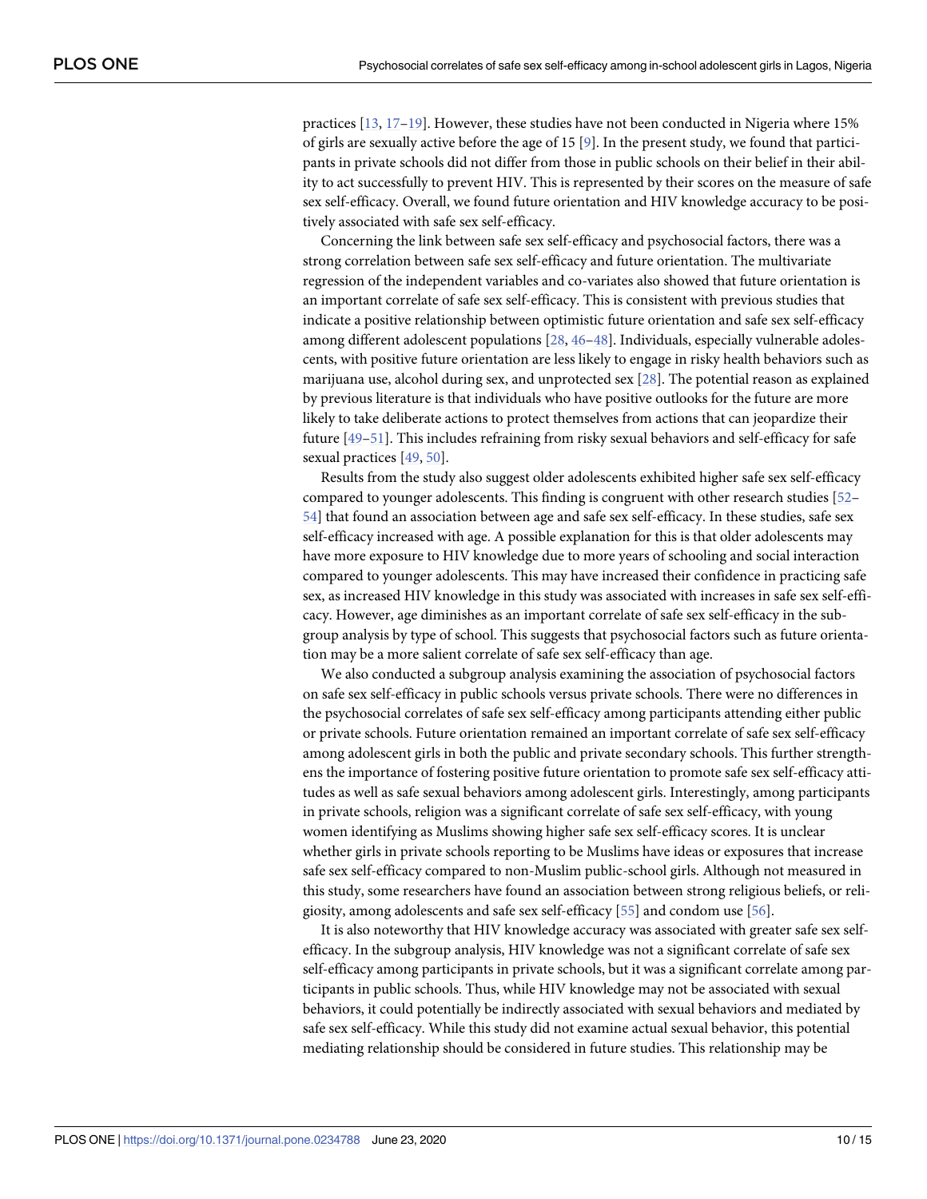<span id="page-9-0"></span>practices [[13](#page-12-0), [17–19\]](#page-12-0). However, these studies have not been conducted in Nigeria where 15% of girls are sexually active before the age of 15 [[9\]](#page-12-0). In the present study, we found that participants in private schools did not differ from those in public schools on their belief in their ability to act successfully to prevent HIV. This is represented by their scores on the measure of safe sex self-efficacy. Overall, we found future orientation and HIV knowledge accuracy to be positively associated with safe sex self-efficacy.

Concerning the link between safe sex self-efficacy and psychosocial factors, there was a strong correlation between safe sex self-efficacy and future orientation. The multivariate regression of the independent variables and co-variates also showed that future orientation is an important correlate of safe sex self-efficacy. This is consistent with previous studies that indicate a positive relationship between optimistic future orientation and safe sex self-efficacy among different adolescent populations [[28](#page-13-0), [46–48\]](#page-14-0). Individuals, especially vulnerable adolescents, with positive future orientation are less likely to engage in risky health behaviors such as marijuana use, alcohol during sex, and unprotected sex [\[28\]](#page-13-0). The potential reason as explained by previous literature is that individuals who have positive outlooks for the future are more likely to take deliberate actions to protect themselves from actions that can jeopardize their future [[49](#page-14-0)–[51](#page-14-0)]. This includes refraining from risky sexual behaviors and self-efficacy for safe sexual practices [[49](#page-14-0), [50](#page-14-0)].

Results from the study also suggest older adolescents exhibited higher safe sex self-efficacy compared to younger adolescents. This finding is congruent with other research studies [\[52–](#page-14-0) [54\]](#page-14-0) that found an association between age and safe sex self-efficacy. In these studies, safe sex self-efficacy increased with age. A possible explanation for this is that older adolescents may have more exposure to HIV knowledge due to more years of schooling and social interaction compared to younger adolescents. This may have increased their confidence in practicing safe sex, as increased HIV knowledge in this study was associated with increases in safe sex self-efficacy. However, age diminishes as an important correlate of safe sex self-efficacy in the subgroup analysis by type of school. This suggests that psychosocial factors such as future orientation may be a more salient correlate of safe sex self-efficacy than age.

We also conducted a subgroup analysis examining the association of psychosocial factors on safe sex self-efficacy in public schools versus private schools. There were no differences in the psychosocial correlates of safe sex self-efficacy among participants attending either public or private schools. Future orientation remained an important correlate of safe sex self-efficacy among adolescent girls in both the public and private secondary schools. This further strengthens the importance of fostering positive future orientation to promote safe sex self-efficacy attitudes as well as safe sexual behaviors among adolescent girls. Interestingly, among participants in private schools, religion was a significant correlate of safe sex self-efficacy, with young women identifying as Muslims showing higher safe sex self-efficacy scores. It is unclear whether girls in private schools reporting to be Muslims have ideas or exposures that increase safe sex self-efficacy compared to non-Muslim public-school girls. Although not measured in this study, some researchers have found an association between strong religious beliefs, or religiosity, among adolescents and safe sex self-efficacy [[55](#page-14-0)] and condom use [[56](#page-14-0)].

It is also noteworthy that HIV knowledge accuracy was associated with greater safe sex selfefficacy. In the subgroup analysis, HIV knowledge was not a significant correlate of safe sex self-efficacy among participants in private schools, but it was a significant correlate among participants in public schools. Thus, while HIV knowledge may not be associated with sexual behaviors, it could potentially be indirectly associated with sexual behaviors and mediated by safe sex self-efficacy. While this study did not examine actual sexual behavior, this potential mediating relationship should be considered in future studies. This relationship may be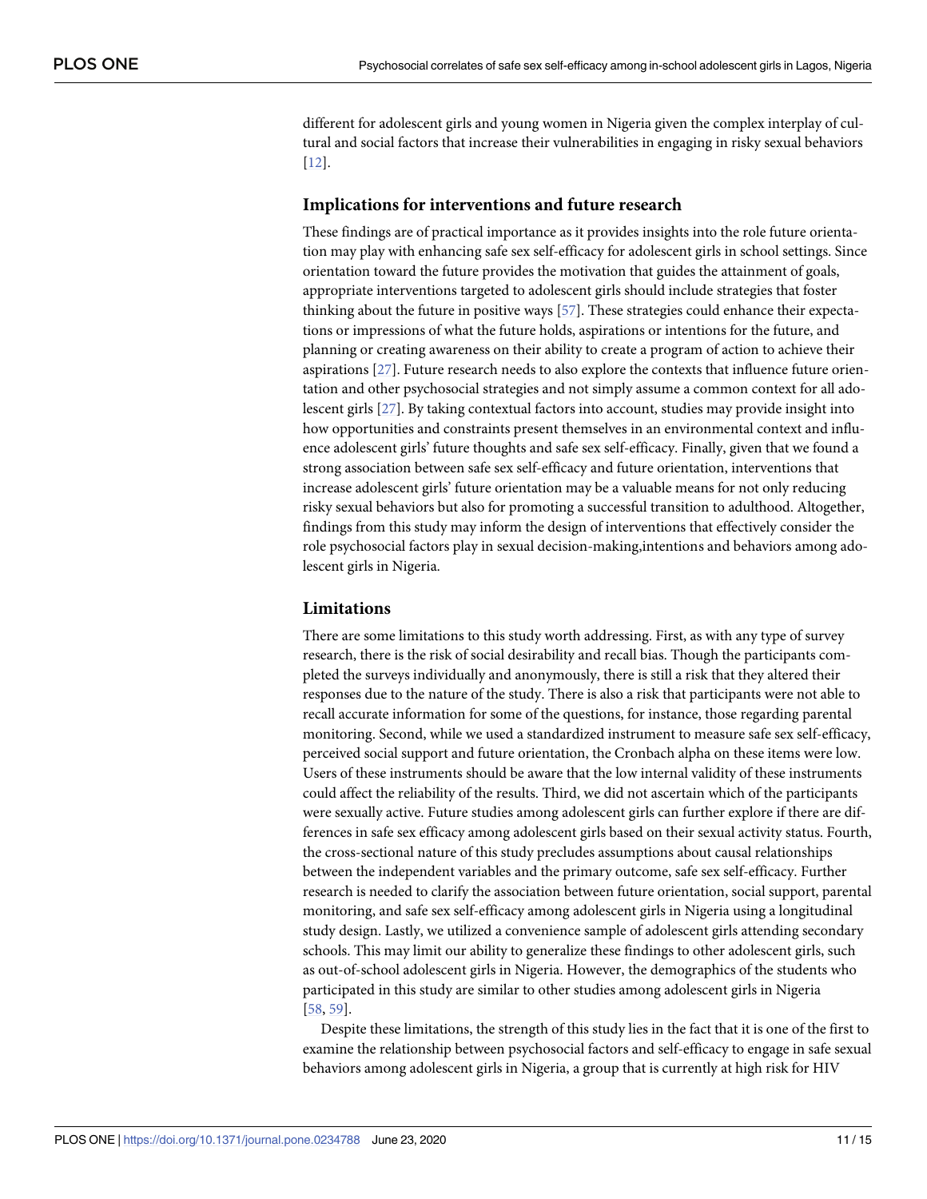<span id="page-10-0"></span>different for adolescent girls and young women in Nigeria given the complex interplay of cultural and social factors that increase their vulnerabilities in engaging in risky sexual behaviors [\[12\]](#page-12-0).

#### **Implications for interventions and future research**

These findings are of practical importance as it provides insights into the role future orientation may play with enhancing safe sex self-efficacy for adolescent girls in school settings. Since orientation toward the future provides the motivation that guides the attainment of goals, appropriate interventions targeted to adolescent girls should include strategies that foster thinking about the future in positive ways [\[57\]](#page-14-0). These strategies could enhance their expectations or impressions of what the future holds, aspirations or intentions for the future, and planning or creating awareness on their ability to create a program of action to achieve their aspirations [\[27\]](#page-13-0). Future research needs to also explore the contexts that influence future orientation and other psychosocial strategies and not simply assume a common context for all adolescent girls [\[27\]](#page-13-0). By taking contextual factors into account, studies may provide insight into how opportunities and constraints present themselves in an environmental context and influence adolescent girls' future thoughts and safe sex self-efficacy. Finally, given that we found a strong association between safe sex self-efficacy and future orientation, interventions that increase adolescent girls' future orientation may be a valuable means for not only reducing risky sexual behaviors but also for promoting a successful transition to adulthood. Altogether, findings from this study may inform the design of interventions that effectively consider the role psychosocial factors play in sexual decision-making,intentions and behaviors among adolescent girls in Nigeria.

#### **Limitations**

There are some limitations to this study worth addressing. First, as with any type of survey research, there is the risk of social desirability and recall bias. Though the participants completed the surveys individually and anonymously, there is still a risk that they altered their responses due to the nature of the study. There is also a risk that participants were not able to recall accurate information for some of the questions, for instance, those regarding parental monitoring. Second, while we used a standardized instrument to measure safe sex self-efficacy, perceived social support and future orientation, the Cronbach alpha on these items were low. Users of these instruments should be aware that the low internal validity of these instruments could affect the reliability of the results. Third, we did not ascertain which of the participants were sexually active. Future studies among adolescent girls can further explore if there are differences in safe sex efficacy among adolescent girls based on their sexual activity status. Fourth, the cross-sectional nature of this study precludes assumptions about causal relationships between the independent variables and the primary outcome, safe sex self-efficacy. Further research is needed to clarify the association between future orientation, social support, parental monitoring, and safe sex self-efficacy among adolescent girls in Nigeria using a longitudinal study design. Lastly, we utilized a convenience sample of adolescent girls attending secondary schools. This may limit our ability to generalize these findings to other adolescent girls, such as out-of-school adolescent girls in Nigeria. However, the demographics of the students who participated in this study are similar to other studies among adolescent girls in Nigeria [\[58,](#page-14-0) [59\]](#page-14-0).

Despite these limitations, the strength of this study lies in the fact that it is one of the first to examine the relationship between psychosocial factors and self-efficacy to engage in safe sexual behaviors among adolescent girls in Nigeria, a group that is currently at high risk for HIV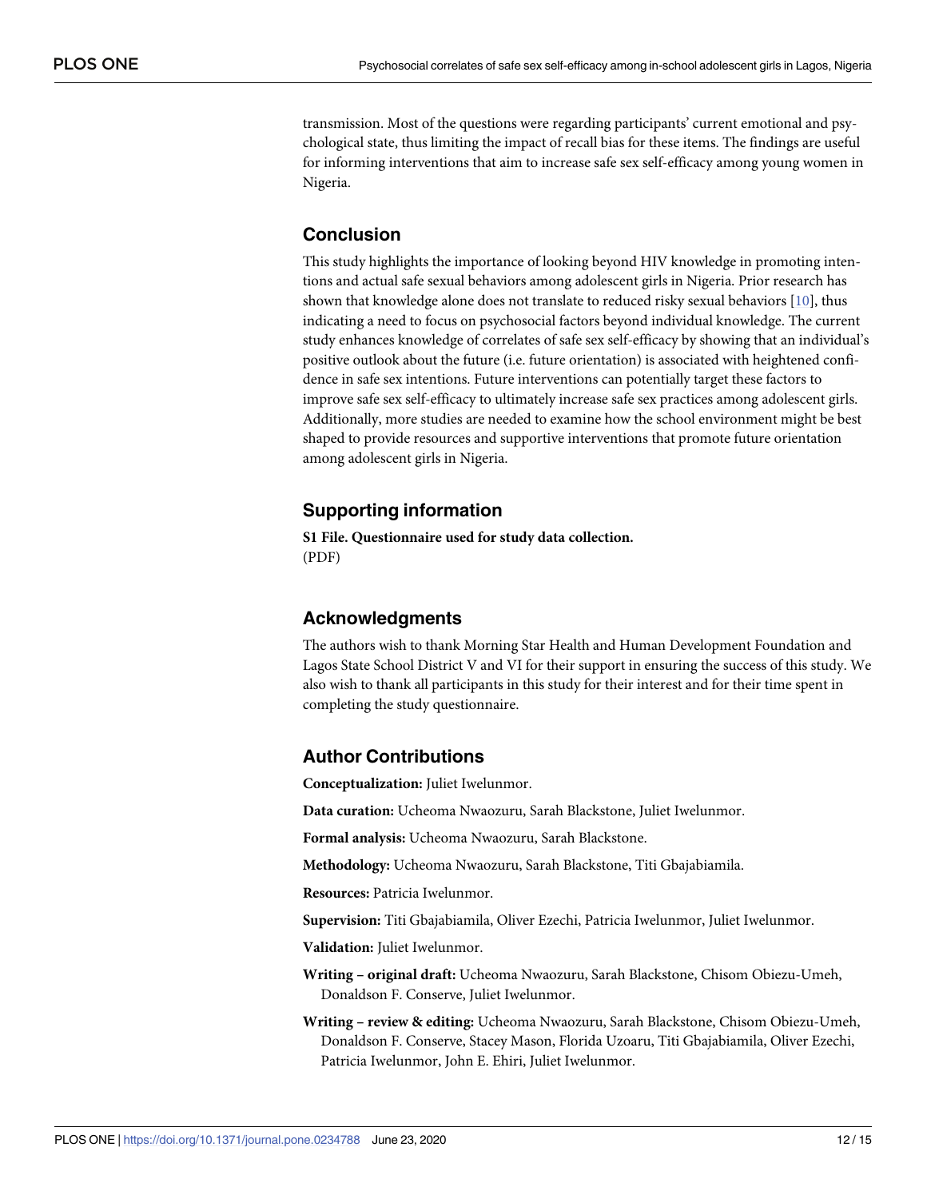transmission. Most of the questions were regarding participants' current emotional and psychological state, thus limiting the impact of recall bias for these items. The findings are useful for informing interventions that aim to increase safe sex self-efficacy among young women in Nigeria.

## **Conclusion**

This study highlights the importance of looking beyond HIV knowledge in promoting intentions and actual safe sexual behaviors among adolescent girls in Nigeria. Prior research has shown that knowledge alone does not translate to reduced risky sexual behaviors [\[10\]](#page-12-0), thus indicating a need to focus on psychosocial factors beyond individual knowledge. The current study enhances knowledge of correlates of safe sex self-efficacy by showing that an individual's positive outlook about the future (i.e. future orientation) is associated with heightened confidence in safe sex intentions. Future interventions can potentially target these factors to improve safe sex self-efficacy to ultimately increase safe sex practices among adolescent girls. Additionally, more studies are needed to examine how the school environment might be best shaped to provide resources and supportive interventions that promote future orientation among adolescent girls in Nigeria.

## **Supporting information**

**S1 [File.](http://www.plosone.org/article/fetchSingleRepresentation.action?uri=info:doi/10.1371/journal.pone.0234788.s001) Questionnaire used for study data collection.** (PDF)

## **Acknowledgments**

The authors wish to thank Morning Star Health and Human Development Foundation and Lagos State School District V and VI for their support in ensuring the success of this study. We also wish to thank all participants in this study for their interest and for their time spent in completing the study questionnaire.

## **Author Contributions**

**Conceptualization:** Juliet Iwelunmor.

**Data curation:** Ucheoma Nwaozuru, Sarah Blackstone, Juliet Iwelunmor.

**Formal analysis:** Ucheoma Nwaozuru, Sarah Blackstone.

**Methodology:** Ucheoma Nwaozuru, Sarah Blackstone, Titi Gbajabiamila.

**Resources:** Patricia Iwelunmor.

**Supervision:** Titi Gbajabiamila, Oliver Ezechi, Patricia Iwelunmor, Juliet Iwelunmor.

**Validation:** Juliet Iwelunmor.

- **Writing – original draft:** Ucheoma Nwaozuru, Sarah Blackstone, Chisom Obiezu-Umeh, Donaldson F. Conserve, Juliet Iwelunmor.
- **Writing – review & editing:** Ucheoma Nwaozuru, Sarah Blackstone, Chisom Obiezu-Umeh, Donaldson F. Conserve, Stacey Mason, Florida Uzoaru, Titi Gbajabiamila, Oliver Ezechi, Patricia Iwelunmor, John E. Ehiri, Juliet Iwelunmor.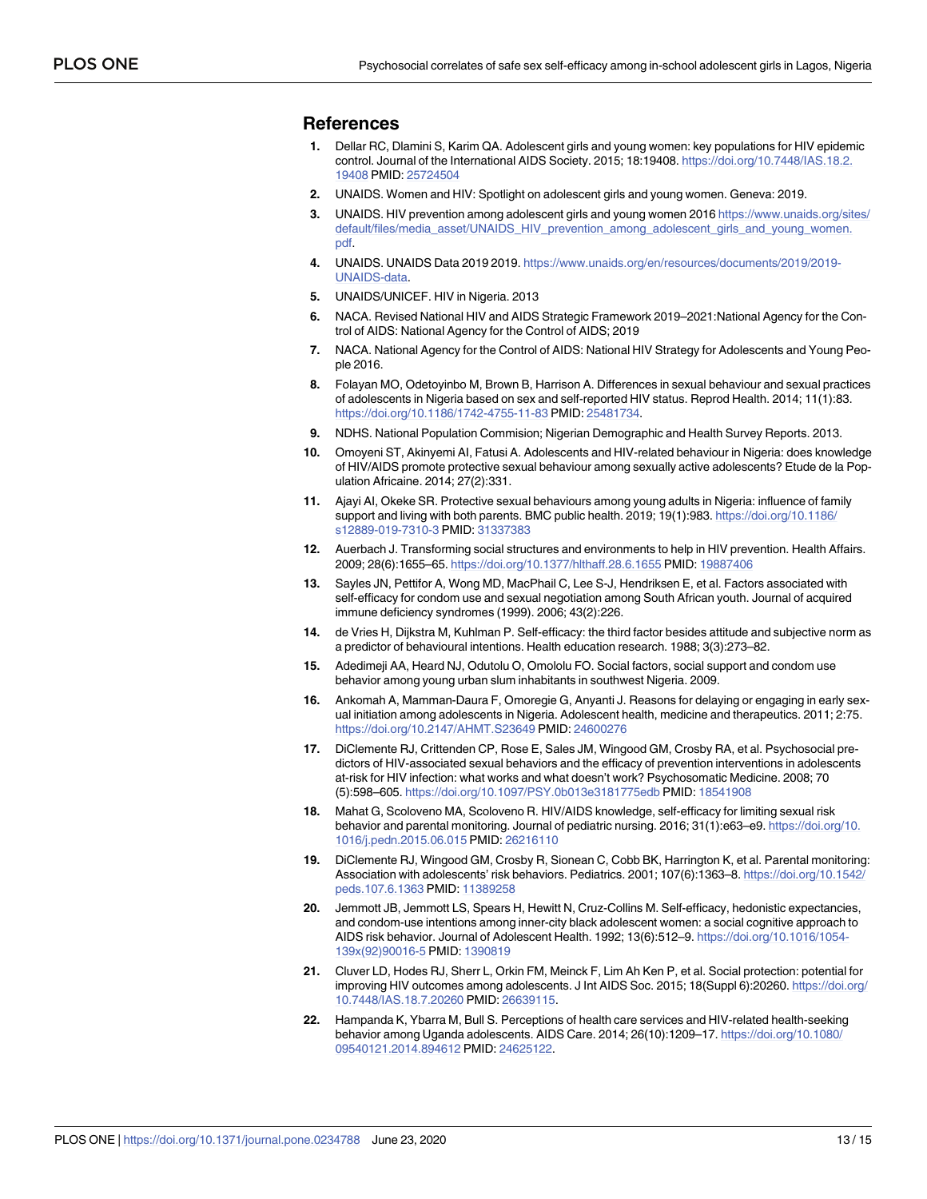#### <span id="page-12-0"></span>**References**

- **[1](#page-1-0).** Dellar RC, Dlamini S, Karim QA. Adolescent girls and young women: key populations for HIV epidemic control. Journal of the International AIDS Society. 2015; 18:19408. [https://doi.org/10.7448/IAS.18.2.](https://doi.org/10.7448/IAS.18.2.19408) [19408](https://doi.org/10.7448/IAS.18.2.19408) PMID: [25724504](http://www.ncbi.nlm.nih.gov/pubmed/25724504)
- **2.** UNAIDS. Women and HIV: Spotlight on adolescent girls and young women. Geneva: 2019.
- **[3](#page-1-0).** UNAIDS. HIV prevention among adolescent girls and young women 2016 [https://www.unaids.org/sites/](https://www.unaids.org/sites/default/files/media_asset/UNAIDS_HIV_prevention_among_adolescent_girls_and_young_women.pdf) [default/files/media\\_asset/UNAIDS\\_HIV\\_prevention\\_among\\_adolescent\\_girls\\_and\\_young\\_women.](https://www.unaids.org/sites/default/files/media_asset/UNAIDS_HIV_prevention_among_adolescent_girls_and_young_women.pdf) [pdf](https://www.unaids.org/sites/default/files/media_asset/UNAIDS_HIV_prevention_among_adolescent_girls_and_young_women.pdf).
- **[4](#page-1-0).** UNAIDS. UNAIDS Data 2019 2019. [https://www.unaids.org/en/resources/documents/2019/2019-](https://www.unaids.org/en/resources/documents/2019/2019-UNAIDS-data) [UNAIDS-data](https://www.unaids.org/en/resources/documents/2019/2019-UNAIDS-data).
- **[5](#page-1-0).** UNAIDS/UNICEF. HIV in Nigeria. 2013
- **[6](#page-1-0).** NACA. Revised National HIV and AIDS Strategic Framework 2019–2021:National Agency for the Control of AIDS: National Agency for the Control of AIDS; 2019
- **[7](#page-1-0).** NACA. National Agency for the Control of AIDS: National HIV Strategy for Adolescents and Young People 2016.
- **[8](#page-1-0).** Folayan MO, Odetoyinbo M, Brown B, Harrison A. Differences in sexual behaviour and sexual practices of adolescents in Nigeria based on sex and self-reported HIV status. Reprod Health. 2014; 11(1):83. <https://doi.org/10.1186/1742-4755-11-83> PMID: [25481734.](http://www.ncbi.nlm.nih.gov/pubmed/25481734)
- **[9](#page-1-0).** NDHS. National Population Commision; Nigerian Demographic and Health Survey Reports. 2013.
- **[10](#page-1-0).** Omoyeni ST, Akinyemi AI, Fatusi A. Adolescents and HIV-related behaviour in Nigeria: does knowledge of HIV/AIDS promote protective sexual behaviour among sexually active adolescents? Etude de la Population Africaine. 2014; 27(2):331.
- **[11](#page-1-0).** Ajayi AI, Okeke SR. Protective sexual behaviours among young adults in Nigeria: influence of family support and living with both parents. BMC public health. 2019; 19(1):983. [https://doi.org/10.1186/](https://doi.org/10.1186/s12889-019-7310-3) [s12889-019-7310-3](https://doi.org/10.1186/s12889-019-7310-3) PMID: [31337383](http://www.ncbi.nlm.nih.gov/pubmed/31337383)
- **[12](#page-1-0).** Auerbach J. Transforming social structures and environments to help in HIV prevention. Health Affairs. 2009; 28(6):1655–65. <https://doi.org/10.1377/hlthaff.28.6.1655> PMID: [19887406](http://www.ncbi.nlm.nih.gov/pubmed/19887406)
- **[13](#page-1-0).** Sayles JN, Pettifor A, Wong MD, MacPhail C, Lee S-J, Hendriksen E, et al. Factors associated with self-efficacy for condom use and sexual negotiation among South African youth. Journal of acquired immune deficiency syndromes (1999). 2006; 43(2):226.
- **[14](#page-1-0).** de Vries H, Dijkstra M, Kuhlman P. Self-efficacy: the third factor besides attitude and subjective norm as a predictor of behavioural intentions. Health education research. 1988; 3(3):273–82.
- **[15](#page-1-0).** Adedimeji AA, Heard NJ, Odutolu O, Omololu FO. Social factors, social support and condom use behavior among young urban slum inhabitants in southwest Nigeria. 2009.
- **[16](#page-1-0).** Ankomah A, Mamman-Daura F, Omoregie G, Anyanti J. Reasons for delaying or engaging in early sexual initiation among adolescents in Nigeria. Adolescent health, medicine and therapeutics. 2011; 2:75. <https://doi.org/10.2147/AHMT.S23649> PMID: [24600276](http://www.ncbi.nlm.nih.gov/pubmed/24600276)
- **[17](#page-2-0).** DiClemente RJ, Crittenden CP, Rose E, Sales JM, Wingood GM, Crosby RA, et al. Psychosocial predictors of HIV-associated sexual behaviors and the efficacy of prevention interventions in adolescents at-risk for HIV infection: what works and what doesn't work? Psychosomatic Medicine. 2008; 70 (5):598–605. <https://doi.org/10.1097/PSY.0b013e3181775edb> PMID: [18541908](http://www.ncbi.nlm.nih.gov/pubmed/18541908)
- **18.** Mahat G, Scoloveno MA, Scoloveno R. HIV/AIDS knowledge, self-efficacy for limiting sexual risk behavior and parental monitoring. Journal of pediatric nursing. 2016; 31(1):e63–e9. [https://doi.org/10.](https://doi.org/10.1016/j.pedn.2015.06.015) [1016/j.pedn.2015.06.015](https://doi.org/10.1016/j.pedn.2015.06.015) PMID: [26216110](http://www.ncbi.nlm.nih.gov/pubmed/26216110)
- **[19](#page-2-0).** DiClemente RJ, Wingood GM, Crosby R, Sionean C, Cobb BK, Harrington K, et al. Parental monitoring: Association with adolescents' risk behaviors. Pediatrics. 2001; 107(6):1363–8. [https://doi.org/10.1542/](https://doi.org/10.1542/peds.107.6.1363) [peds.107.6.1363](https://doi.org/10.1542/peds.107.6.1363) PMID: [11389258](http://www.ncbi.nlm.nih.gov/pubmed/11389258)
- **[20](#page-2-0).** Jemmott JB, Jemmott LS, Spears H, Hewitt N, Cruz-Collins M. Self-efficacy, hedonistic expectancies, and condom-use intentions among inner-city black adolescent women: a social cognitive approach to AIDS risk behavior. Journal of Adolescent Health. 1992; 13(6):512–9. [https://doi.org/10.1016/1054-](https://doi.org/10.1016/1054-139x(92)90016-5) [139x\(92\)90016-5](https://doi.org/10.1016/1054-139x(92)90016-5) PMID: [1390819](http://www.ncbi.nlm.nih.gov/pubmed/1390819)
- **[21](#page-2-0).** Cluver LD, Hodes RJ, Sherr L, Orkin FM, Meinck F, Lim Ah Ken P, et al. Social protection: potential for improving HIV outcomes among adolescents. J Int AIDS Soc. 2015; 18(Suppl 6):20260. [https://doi.org/](https://doi.org/10.7448/IAS.18.7.20260) [10.7448/IAS.18.7.20260](https://doi.org/10.7448/IAS.18.7.20260) PMID: [26639115.](http://www.ncbi.nlm.nih.gov/pubmed/26639115)
- **[22](#page-2-0).** Hampanda K, Ybarra M, Bull S. Perceptions of health care services and HIV-related health-seeking behavior among Uganda adolescents. AIDS Care. 2014; 26(10):1209–17. [https://doi.org/10.1080/](https://doi.org/10.1080/09540121.2014.894612) [09540121.2014.894612](https://doi.org/10.1080/09540121.2014.894612) PMID: [24625122.](http://www.ncbi.nlm.nih.gov/pubmed/24625122)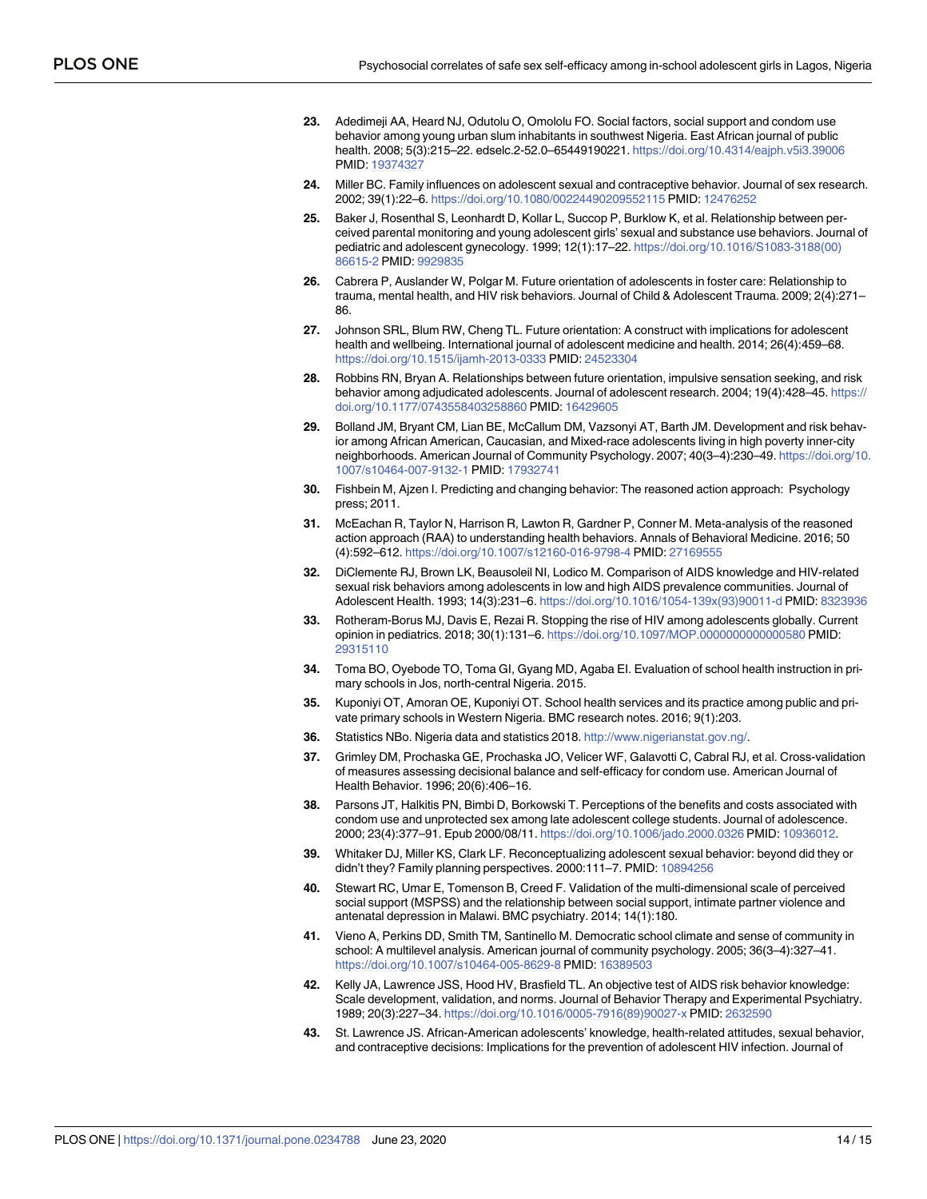- <span id="page-13-0"></span>**[23](#page-2-0).** Adedimeji AA, Heard NJ, Odutolu O, Omololu FO. Social factors, social support and condom use behavior among young urban slum inhabitants in southwest Nigeria. East African journal of public health. 2008; 5(3):215–22. edselc.2-52.0–65449190221. <https://doi.org/10.4314/eajph.v5i3.39006> PMID: [19374327](http://www.ncbi.nlm.nih.gov/pubmed/19374327)
- **[24](#page-2-0).** Miller BC. Family influences on adolescent sexual and contraceptive behavior. Journal of sex research. 2002; 39(1):22–6. <https://doi.org/10.1080/00224490209552115> PMID: [12476252](http://www.ncbi.nlm.nih.gov/pubmed/12476252)
- **[25](#page-2-0).** Baker J, Rosenthal S, Leonhardt D, Kollar L, Succop P, Burklow K, et al. Relationship between perceived parental monitoring and young adolescent girls' sexual and substance use behaviors. Journal of pediatric and adolescent gynecology. 1999; 12(1):17–22. [https://doi.org/10.1016/S1083-3188\(00\)](https://doi.org/10.1016/S1083-3188(00)86615-2) [86615-2](https://doi.org/10.1016/S1083-3188(00)86615-2) PMID: [9929835](http://www.ncbi.nlm.nih.gov/pubmed/9929835)
- **[26](#page-2-0).** Cabrera P, Auslander W, Polgar M. Future orientation of adolescents in foster care: Relationship to trauma, mental health, and HIV risk behaviors. Journal of Child & Adolescent Trauma. 2009; 2(4):271– 86.
- **[27](#page-2-0).** Johnson SRL, Blum RW, Cheng TL. Future orientation: A construct with implications for adolescent health and wellbeing. International journal of adolescent medicine and health. 2014; 26(4):459–68. <https://doi.org/10.1515/ijamh-2013-0333> PMID: [24523304](http://www.ncbi.nlm.nih.gov/pubmed/24523304)
- **[28](#page-2-0).** Robbins RN, Bryan A. Relationships between future orientation, impulsive sensation seeking, and risk behavior among adjudicated adolescents. Journal of adolescent research. 2004; 19(4):428-45. [https://](https://doi.org/10.1177/0743558403258860) [doi.org/10.1177/0743558403258860](https://doi.org/10.1177/0743558403258860) PMID: [16429605](http://www.ncbi.nlm.nih.gov/pubmed/16429605)
- **[29](#page-2-0).** Bolland JM, Bryant CM, Lian BE, McCallum DM, Vazsonyi AT, Barth JM. Development and risk behavior among African American, Caucasian, and Mixed-race adolescents living in high poverty inner-city neighborhoods. American Journal of Community Psychology. 2007; 40(3–4):230–49. [https://doi.org/10.](https://doi.org/10.1007/s10464-007-9132-1) [1007/s10464-007-9132-1](https://doi.org/10.1007/s10464-007-9132-1) PMID: [17932741](http://www.ncbi.nlm.nih.gov/pubmed/17932741)
- **[30](#page-2-0).** Fishbein M, Ajzen I. Predicting and changing behavior: The reasoned action approach: Psychology press; 2011.
- **[31](#page-2-0).** McEachan R, Taylor N, Harrison R, Lawton R, Gardner P, Conner M. Meta-analysis of the reasoned action approach (RAA) to understanding health behaviors. Annals of Behavioral Medicine. 2016; 50 (4):592–612. <https://doi.org/10.1007/s12160-016-9798-4> PMID: [27169555](http://www.ncbi.nlm.nih.gov/pubmed/27169555)
- **[32](#page-2-0).** DiClemente RJ, Brown LK, Beausoleil NI, Lodico M. Comparison of AIDS knowledge and HIV-related sexual risk behaviors among adolescents in low and high AIDS prevalence communities. Journal of Adolescent Health. 1993; 14(3):231–6. [https://doi.org/10.1016/1054-139x\(93\)90011-d](https://doi.org/10.1016/1054-139x(93)90011-d) PMID: [8323936](http://www.ncbi.nlm.nih.gov/pubmed/8323936)
- **[33](#page-2-0).** Rotheram-Borus MJ, Davis E, Rezai R. Stopping the rise of HIV among adolescents globally. Current opinion in pediatrics. 2018; 30(1):131–6. <https://doi.org/10.1097/MOP.0000000000000580> PMID: [29315110](http://www.ncbi.nlm.nih.gov/pubmed/29315110)
- **[34](#page-2-0).** Toma BO, Oyebode TO, Toma GI, Gyang MD, Agaba EI. Evaluation of school health instruction in primary schools in Jos, north-central Nigeria. 2015.
- **[35](#page-2-0).** Kuponiyi OT, Amoran OE, Kuponiyi OT. School health services and its practice among public and private primary schools in Western Nigeria. BMC research notes. 2016; 9(1):203.
- **[36](#page-3-0).** Statistics NBo. Nigeria data and statistics 2018. <http://www.nigerianstat.gov.ng/>.
- **[37](#page-3-0).** Grimley DM, Prochaska GE, Prochaska JO, Velicer WF, Galavotti C, Cabral RJ, et al. Cross-validation of measures assessing decisional balance and self-efficacy for condom use. American Journal of Health Behavior. 1996; 20(6):406–16.
- **[38](#page-3-0).** Parsons JT, Halkitis PN, Bimbi D, Borkowski T. Perceptions of the benefits and costs associated with condom use and unprotected sex among late adolescent college students. Journal of adolescence. 2000; 23(4):377–91. Epub 2000/08/11. <https://doi.org/10.1006/jado.2000.0326> PMID: [10936012.](http://www.ncbi.nlm.nih.gov/pubmed/10936012)
- **[39](#page-4-0).** Whitaker DJ, Miller KS, Clark LF. Reconceptualizing adolescent sexual behavior: beyond did they or didn't they? Family planning perspectives. 2000:111–7. PMID: [10894256](http://www.ncbi.nlm.nih.gov/pubmed/10894256)
- **[40](#page-4-0).** Stewart RC, Umar E, Tomenson B, Creed F. Validation of the multi-dimensional scale of perceived social support (MSPSS) and the relationship between social support, intimate partner violence and antenatal depression in Malawi. BMC psychiatry. 2014; 14(1):180.
- **[41](#page-4-0).** Vieno A, Perkins DD, Smith TM, Santinello M. Democratic school climate and sense of community in school: A multilevel analysis. American journal of community psychology. 2005; 36(3–4):327–41. <https://doi.org/10.1007/s10464-005-8629-8> PMID: [16389503](http://www.ncbi.nlm.nih.gov/pubmed/16389503)
- **[42](#page-4-0).** Kelly JA, Lawrence JSS, Hood HV, Brasfield TL. An objective test of AIDS risk behavior knowledge: Scale development, validation, and norms. Journal of Behavior Therapy and Experimental Psychiatry. 1989; 20(3):227–34. [https://doi.org/10.1016/0005-7916\(89\)90027-x](https://doi.org/10.1016/0005-7916(89)90027-x) PMID: [2632590](http://www.ncbi.nlm.nih.gov/pubmed/2632590)
- **[43](#page-4-0).** St. Lawrence JS. African-American adolescents' knowledge, health-related attitudes, sexual behavior, and contraceptive decisions: Implications for the prevention of adolescent HIV infection. Journal of